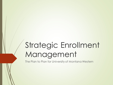# Strategic Enrollment Management

The Plan to Plan for University of Montana Western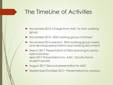#### The TimeLine of Activities

- November 2016 Charge from AAC to form working group
- November 2016- SEM working group is formed
- November 2016-present- SEM working group meets and develops presentation and working document
- **March 2017 Presentation of SEM planning to senior** administration April 2017-Presentations to AAC, faculty forum, student senate
- August 2017-Second presentation to AAC
- September/October 2017- Presentations to campus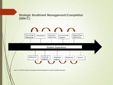**Strategic Enrollment Management/Completion (SEM/C)**

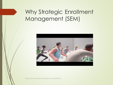### Why Strategic Enrollment Management (SEM)



https://www.youtube.com/watch?v=auAsWfWTUAs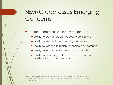# SEM/C addresses Emerging Concerns

- National Emerging Challenges to Higher Ed
	- Ability to provide greater access to our institution
	- Ability to ensure student learning and success
	- Ability to respond to rapidly changing demographics
	- Ability to respond to increasing accountability
	- Ability to develop greater efficiencies as we face significantly reduced resources

"Enrollment Management: Key Elements for Building and Implementing an Enrollment Plan" "Six Essential-and Six Common Mistakes-in Cabinet Level Strategic Enrollment Planning" Noel-Levitz Executive Briefing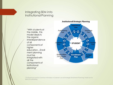#### Integrating SEM into Institutional Planning

"With students at the middle, this model depicts the organic interdependence of all components of higher education…Enroll ment planning must be integrated with all the components of institutional planning"



"Six Essential-And Six Common Mistakes-In Cabinet-Level Strategic Enrollment Planning" Noel Levitz Executive Briefing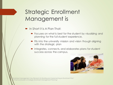# Strategic Enrollment Management is

- In Short it is A Plan That:
	- **•** Focuses on what is best for the student by visualizing and planning for the full student experience.
	- **Fits into the university mission and vision though aligning** with the strategic plan
	- Integrates, connects, and elaborates plans for student success across the campus.



"Enrollment Management: Key Elements for Building and Implementing an Enrollment Plan" "A Practical Guide to Strategic Enrollment Management Planning"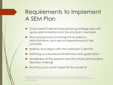# Requirements to Implement A SEM Plan

- Chancellor/Cabinet lead-planning strategically with senior administration and faculty team members
- Structure/process involving the academic, administrative, and service departments of the university
- **P** realistic and aligns with the institution's identity
- Defining success beyond retention and graduation
- Awareness of the present and the future (anticipatory decision-making)
- Must focus on what is best for the students

"Enrollment Management: Key Elements for Building and Implementing an Enrollment Plan" "Six Essential-and Six Common Mistakes-in Cabinet-Level Strategic Enrollment Planning" Noel Levitz Executive Briefing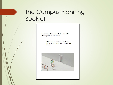# The Campus Planning Booklet

**Recommendations and Guidelines for SEM Planning at Montana Western** 

> Widening the Door for Strategic Enrollment Management and Completion Opportunities for **Students**

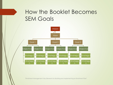#### How the Booklet Becomes SEM Goals



"Enrollment Management: Key Elements for Building and Implementing an Enrollment Plan"